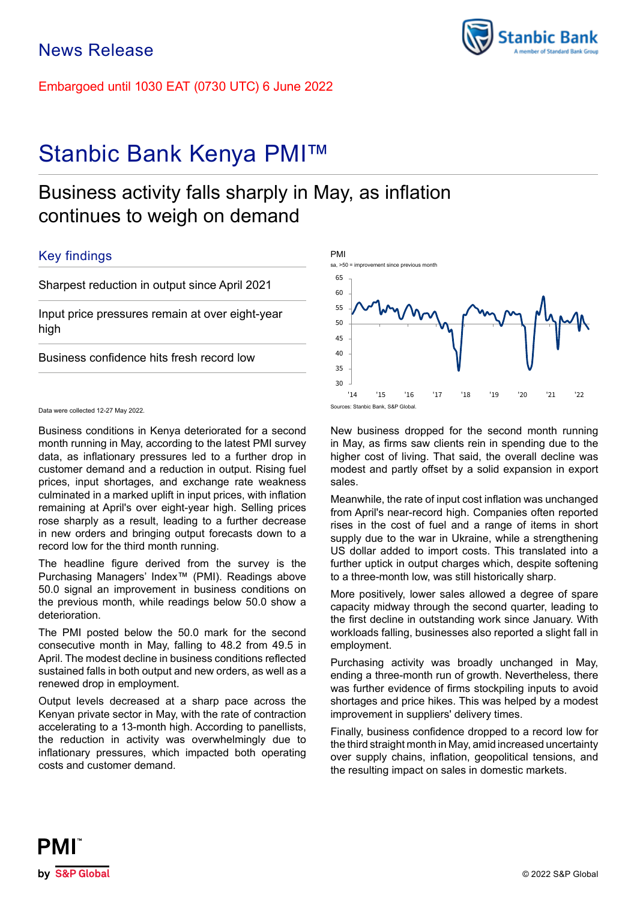Embargoed until 1030 EAT (0730 UTC) 6 June 2022

# Stanbic Bank Kenya PMI™

# Business activity falls sharply in May, as inflation continues to weigh on demand

# Key findings

Sharpest reduction in output since April 2021

Input price pressures remain at over eight-year high

Business confidence hits fresh record low

### Data were collected 12-27 May 2022.

Business conditions in Kenya deteriorated for a second month running in May, according to the latest PMI survey data, as inflationary pressures led to a further drop in customer demand and a reduction in output. Rising fuel prices, input shortages, and exchange rate weakness culminated in a marked uplift in input prices, with inflation remaining at April's over eight-year high. Selling prices rose sharply as a result, leading to a further decrease in new orders and bringing output forecasts down to a record low for the third month running.

The headline figure derived from the survey is the Purchasing Managers' Index™ (PMI). Readings above 50.0 signal an improvement in business conditions on the previous month, while readings below 50.0 show a deterioration.

The PMI posted below the 50.0 mark for the second consecutive month in May, falling to 48.2 from 49.5 in April. The modest decline in business conditions reflected sustained falls in both output and new orders, as well as a renewed drop in employment.

Output levels decreased at a sharp pace across the Kenyan private sector in May, with the rate of contraction accelerating to a 13-month high. According to panellists, the reduction in activity was overwhelmingly due to inflationary pressures, which impacted both operating costs and customer demand.



New business dropped for the second month running in May, as firms saw clients rein in spending due to the higher cost of living. That said, the overall decline was modest and partly offset by a solid expansion in export sales.

Meanwhile, the rate of input cost inflation was unchanged from April's near-record high. Companies often reported rises in the cost of fuel and a range of items in short supply due to the war in Ukraine, while a strengthening US dollar added to import costs. This translated into a further uptick in output charges which, despite softening to a three-month low, was still historically sharp.

More positively, lower sales allowed a degree of spare capacity midway through the second quarter, leading to the first decline in outstanding work since January. With workloads falling, businesses also reported a slight fall in employment.

Purchasing activity was broadly unchanged in May, ending a three-month run of growth. Nevertheless, there was further evidence of firms stockpiling inputs to avoid shortages and price hikes. This was helped by a modest improvement in suppliers' delivery times.

Finally, business confidence dropped to a record low for the third straight month in May, amid increased uncertainty over supply chains, inflation, geopolitical tensions, and the resulting impact on sales in domestic markets.